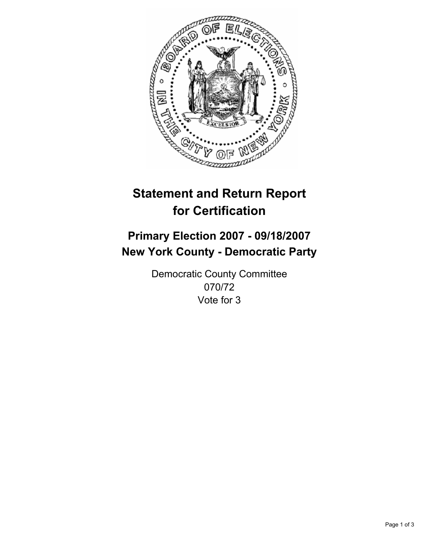

# **Statement and Return Report for Certification**

# **Primary Election 2007 - 09/18/2007 New York County - Democratic Party**

Democratic County Committee 070/72 Vote for 3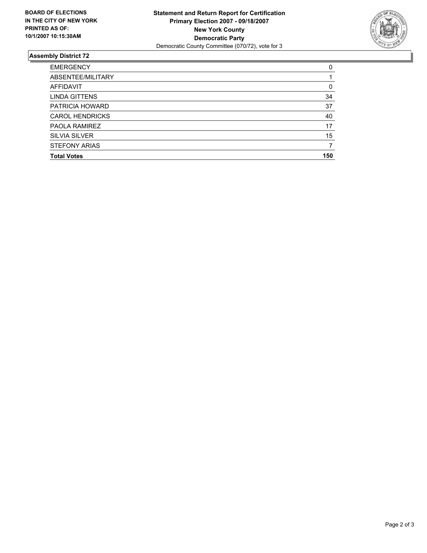

## **Assembly District 72**

| <b>EMERGENCY</b>       |     |
|------------------------|-----|
| ABSENTEE/MILITARY      |     |
| <b>AFFIDAVIT</b>       | 0   |
| <b>LINDA GITTENS</b>   | 34  |
| PATRICIA HOWARD        | 37  |
| <b>CAROL HENDRICKS</b> | 40  |
| PAOLA RAMIREZ          | 17  |
| <b>SILVIA SILVER</b>   | 15  |
| <b>STEFONY ARIAS</b>   |     |
| <b>Total Votes</b>     | 150 |